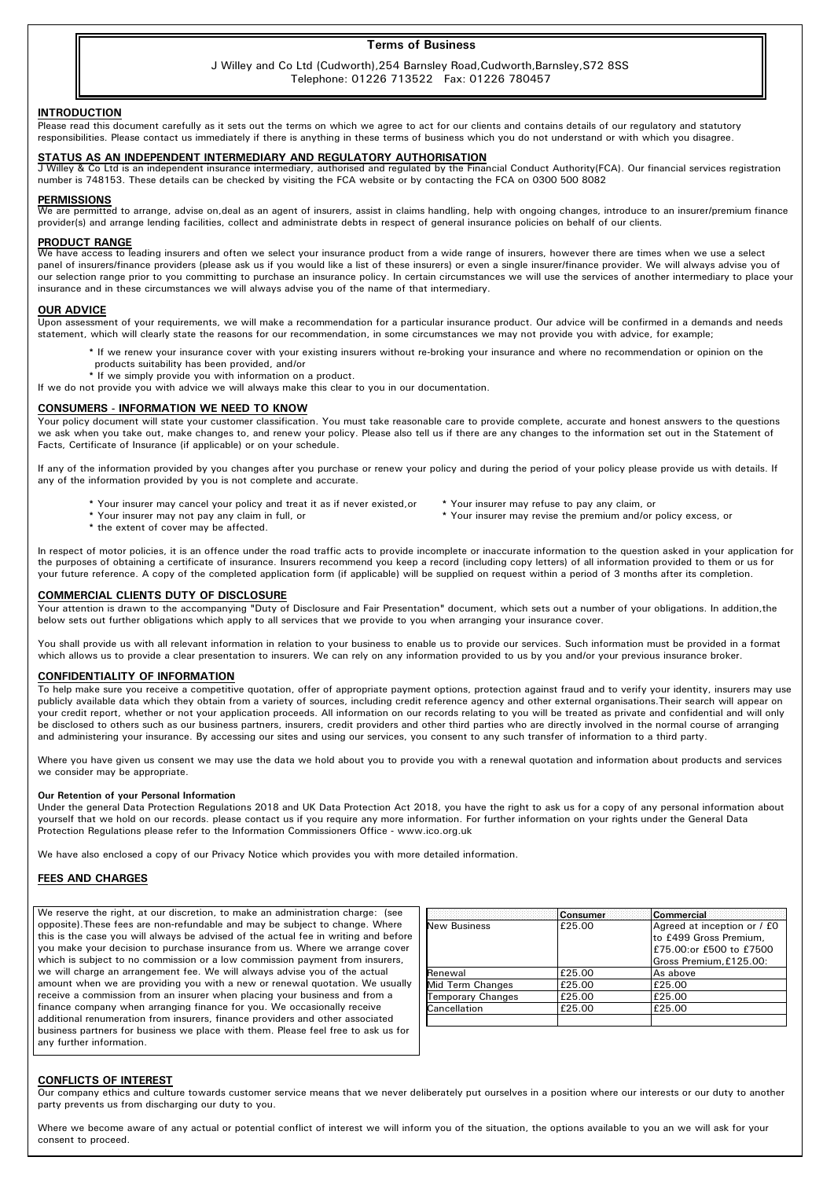## Terms of Business

## J Willey and Co Ltd (Cudworth),254 Barnsley Road,Cudworth,Barnsley,S72 8SS Telephone: 01226 713522 Fax: 01226 780457

### **INTRODUCTION**

Please read this document carefully as it sets out the terms on which we agree to act for our clients and contains details of our regulatory and statutory responsibilities. Please contact us immediately if there is anything in these terms of business which you do not understand or with which you disagree.

## STATUS AS AN INDEPENDENT INTERMEDIARY AND REGULATORY AUTHORISATION

Willey & Co Ltd is an independent insurance intermediary, authorised and regulated by the Financial Conduct Authority(FCA). Our financial services registration number is 748153. These details can be checked by visiting the FCA website or by contacting the FCA on 0300 500 8082

#### PERMISSIONS

We are permitted to arrange, advise on,deal as an agent of insurers, assist in claims handling, help with ongoing changes, introduce to an insurer/premium finance provider(s) and arrange lending facilities, collect and administrate debts in respect of general insurance policies on behalf of our clients.

### PRODUCT RANGE

We have access to leading insurers and often we select your insurance product from a wide range of insurers, however there are times when we use a select panel of insurers/finance providers (please ask us if you would like a list of these insurers) or even a single insurer/finance provider. We will always advise you of our selection range prior to you committing to purchase an insurance policy. In certain circumstances we will use the services of another intermediary to place your insurance and in these circumstances we will always advise you of the name of that intermediary.

#### OUR ADVICE

Upon assessment of your requirements, we will make a recommendation for a particular insurance product. Our advice will be confirmed in a demands and needs statement, which will clearly state the reasons for our recommendation, in some circumstances we may not provide you with advice, for example;

- \* If we renew your insurance cover with your existing insurers without re-broking your insurance and where no recommendation or opinion on the products suitability has been provided, and/or
- \* If we simply provide you with information on a product.
- If we do not provide you with advice we will always make this clear to you in our documentation.

### CONSUMERS - INFORMATION WE NEED TO KNOW

Your policy document will state your customer classification. You must take reasonable care to provide complete, accurate and honest answers to the questions we ask when you take out, make changes to, and renew your policy. Please also tell us if there are any changes to the information set out in the Statement of Facts, Certificate of Insurance (if applicable) or on your schedule.

If any of the information provided by you changes after you purchase or renew your policy and during the period of your policy please provide us with details. If any of the information provided by you is not complete and accurate.

- \* Your insurer may cancel your policy and treat it as if never existed,or \* Your insurer may refuse to pay any claim, or
	-
- \* the extent of cover may be affected.
- 
- \* Your insurer may revise the premium and/or policy excess, or

In respect of motor policies, it is an offence under the road traffic acts to provide incomplete or inaccurate information to the question asked in your application for the purposes of obtaining a certificate of insurance. Insurers recommend you keep a record (including copy letters) of all information provided to them or us for your future reference. A copy of the completed application form (if applicable) will be supplied on request within a period of 3 months after its completion.

## COMMERCIAL CLIENTS DUTY OF DISCLOSURE

Your attention is drawn to the accompanying "Duty of Disclosure and Fair Presentation" document, which sets out a number of your obligations. In addition, the below sets out further obligations which apply to all services that we provide to you when arranging your insurance cover.

You shall provide us with all relevant information in relation to your business to enable us to provide our services. Such information must be provided in a format which allows us to provide a clear presentation to insurers. We can rely on any information provided to us by you and/or your previous insurance broker.

## CONFIDENTIALITY OF INFORMATION

To help make sure you receive a competitive quotation, offer of appropriate payment options, protection against fraud and to verify your identity, insurers may use publicly available data which they obtain from a variety of sources, including credit reference agency and other external organisations.Their search will appear on your credit report, whether or not your application proceeds. All information on our records relating to you will be treated as private and confidential and will only be disclosed to others such as our business partners, insurers, credit providers and other third parties who are directly involved in the normal course of arranging and administering your insurance. By accessing our sites and using our services, you consent to any such transfer of information to a third party.

Where you have given us consent we may use the data we hold about you to provide you with a renewal quotation and information about products and services we consider may be appropriate.

#### Our Retention of your Personal Information

Under the general Data Protection Regulations 2018 and UK Data Protection Act 2018, you have the right to ask us for a copy of any personal information about yourself that we hold on our records. please contact us if you require any more information. For further information on your rights under the General Data Protection Regulations please refer to the Information Commissioners Office - www.ico.org.uk

We have also enclosed a copy of our Privacy Notice which provides you with more detailed information.

## **FEES AND CHARGES**

We reserve the right, at our discretion, to make an administration charge: (see opposite).These fees are non-refundable and may be subject to change. Where this is the case you will always be advised of the actual fee in writing and before you make your decision to purchase insurance from us. Where we arrange cover which is subject to no commission or a low commission payment from insurers, we will charge an arrangement fee. We will always advise you of the actual amount when we are providing you with a new or renewal quotation. We usually receive a commission from an insurer when placing your business and from a finance company when arranging finance for you. We occasionally receive additional renumeration from insurers, finance providers and other associated business partners for business we place with them. Please feel free to ask us for any further information.

|                     | <b>Consumer</b> | Commercial <b>Commercial</b>                                                                                |
|---------------------|-----------------|-------------------------------------------------------------------------------------------------------------|
| <b>New Business</b> | £25.00          | Agreed at inception or / £0<br>to £499 Gross Premium.<br>£75.00:or £500 to £7500<br>Gross Premium. £125.00: |
| Renewal             | £25.00          | As above                                                                                                    |
| Mid Term Changes    | £25.00          | £25.00                                                                                                      |
| Temporary Changes   | £25.00          | £25.00                                                                                                      |
| Cancellation        | £25.00          | £25.00                                                                                                      |

### CONFLICTS OF INTEREST

Our company ethics and culture towards customer service means that we never deliberately put ourselves in a position where our interests or our duty to another party prevents us from discharging our duty to you.

Where we become aware of any actual or potential conflict of interest we will inform you of the situation, the options available to you an we will ask for your consent to proceed.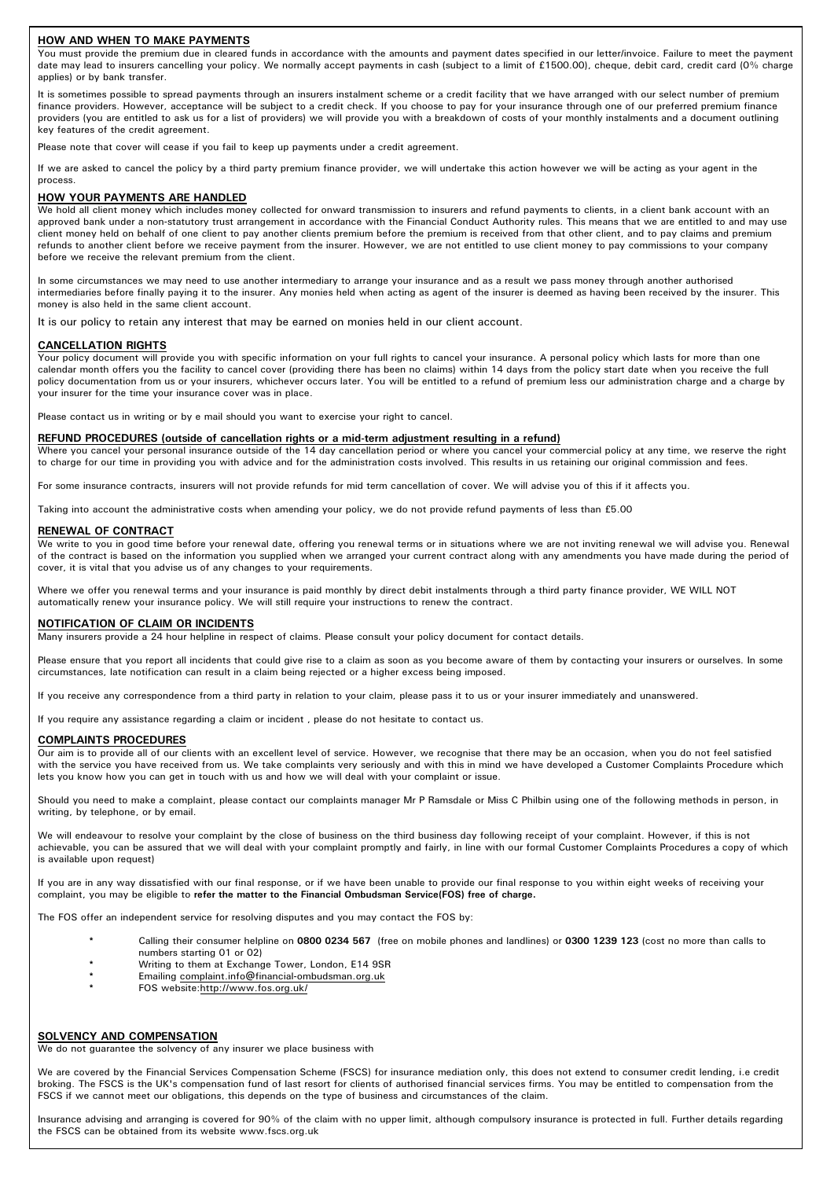## HOW AND WHEN TO MAKE PAYMENTS

You must provide the premium due in cleared funds in accordance with the amounts and payment dates specified in our letter/invoice. Failure to meet the payment date may lead to insurers cancelling your policy. We normally accept payments in cash (subject to a limit of £1500.00), cheque, debit card, credit card (0% charge applies) or by bank transfer.

It is sometimes possible to spread payments through an insurers instalment scheme or a credit facility that we have arranged with our select number of premium finance providers. However, acceptance will be subject to a credit check. If you choose to pay for your insurance through one of our preferred premium finance providers (you are entitled to ask us for a list of providers) we will provide you with a breakdown of costs of your monthly instalments and a document outlining key features of the credit agreement.

Please note that cover will cease if you fail to keep up payments under a credit agreement.

If we are asked to cancel the policy by a third party premium finance provider, we will undertake this action however we will be acting as your agent in the process.

## HOW YOUR PAYMENTS ARE HANDLED

We hold all client money which includes money collected for onward transmission to insurers and refund payments to clients, in a client bank account with an approved bank under a non-statutory trust arrangement in accordance with the Financial Conduct Authority rules. This means that we are entitled to and may use client money held on behalf of one client to pay another clients premium before the premium is received from that other client, and to pay claims and premium refunds to another client before we receive payment from the insurer. However, we are not entitled to use client money to pay commissions to your company before we receive the relevant premium from the client.

In some circumstances we may need to use another intermediary to arrange your insurance and as a result we pass money through another authorised intermediaries before finally paying it to the insurer. Any monies held when acting as agent of the insurer is deemed as having been received by the insurer. This money is also held in the same client account.

It is our policy to retain any interest that may be earned on monies held in our client account.

## CANCELLATION RIGHTS

Your policy document will provide you with specific information on your full rights to cancel your insurance. A personal policy which lasts for more than one calendar month offers you the facility to cancel cover (providing there has been no claims) within 14 days from the policy start date when you receive the full policy documentation from us or your insurers, whichever occurs later. You will be entitled to a refund of premium less our administration charge and a charge by your insurer for the time your insurance cover was in place.

Please contact us in writing or by e mail should you want to exercise your right to cancel.

### REFUND PROCEDURES (outside of cancellation rights or a mid-term adjustment resulting in a refund)

Where you cancel your personal insurance outside of the 14 day cancellation period or where you cancel your commercial policy at any time, we reserve the right to charge for our time in providing you with advice and for the administration costs involved. This results in us retaining our original commission and fees.

For some insurance contracts, insurers will not provide refunds for mid term cancellation of cover. We will advise you of this if it affects you.

Taking into account the administrative costs when amending your policy, we do not provide refund payments of less than £5.00

## RENEWAL OF CONTRACT

We write to you in good time before your renewal date, offering you renewal terms or in situations where we are not inviting renewal we will advise you. Renewal of the contract is based on the information you supplied when we arranged your current contract along with any amendments you have made during the period of cover, it is vital that you advise us of any changes to your requirements.

Where we offer you renewal terms and your insurance is paid monthly by direct debit instalments through a third party finance provider, WE WILL NOT automatically renew your insurance policy. We will still require your instructions to renew the contract.

### NOTIFICATION OF CLAIM OR INCIDENTS

Many insurers provide a 24 hour helpline in respect of claims. Please consult your policy document for contact details.

Please ensure that you report all incidents that could give rise to a claim as soon as you become aware of them by contacting your insurers or ourselves. In some circumstances, late notification can result in a claim being rejected or a higher excess being imposed.

If you receive any correspondence from a third party in relation to your claim, please pass it to us or your insurer immediately and unanswered.

If you require any assistance regarding a claim or incident , please do not hesitate to contact us.

### COMPLAINTS PROCEDURES

Our aim is to provide all of our clients with an excellent level of service. However, we recognise that there may be an occasion, when you do not feel satisfied with the service you have received from us. We take complaints very seriously and with this in mind we have developed a Customer Complaints Procedure which lets you know how you can get in touch with us and how we will deal with your complaint or issue.

Should you need to make a complaint, please contact our complaints manager Mr P Ramsdale or Miss C Philbin using one of the following methods in person, in writing, by telephone, or by email.

We will endeavour to resolve your complaint by the close of business on the third business day following receipt of your complaint. However, if this is not achievable, you can be assured that we will deal with your complaint promptly and fairly, in line with our formal Customer Complaints Procedures a copy of which is available upon request)

If you are in any way dissatisfied with our final response, or if we have been unable to provide our final response to you within eight weeks of receiving your complaint, you may be eligible to refer the matter to the Financial Ombudsman Service(FOS) free of charge.

The FOS offer an independent service for resolving disputes and you may contact the FOS by:

- Calling their consumer helpline on 0800 0234 567 (free on mobile phones and landlines) or 0300 1239 123 (cost no more than calls to numbers starting 01 or 02)
- Writing to them at Exchange Tower, London, E14 9SR
- \* Emailing complaint.info@financial-ombudsman.org.uk
- FOS website:http://www.fos.org.uk/

### SOLVENCY AND COMPENSATION

We do not guarantee the solvency of any insurer we place business with

We are covered by the Financial Services Compensation Scheme (FSCS) for insurance mediation only, this does not extend to consumer credit lending, i.e credit broking. The FSCS is the UK's compensation fund of last resort for clients of authorised financial services firms. You may be entitled to compensation from the FSCS if we cannot meet our obligations, this depends on the type of business and circumstances of the claim.

Insurance advising and arranging is covered for 90% of the claim with no upper limit, although compulsory insurance is protected in full. Further details regarding the FSCS can be obtained from its website www.fscs.org.uk